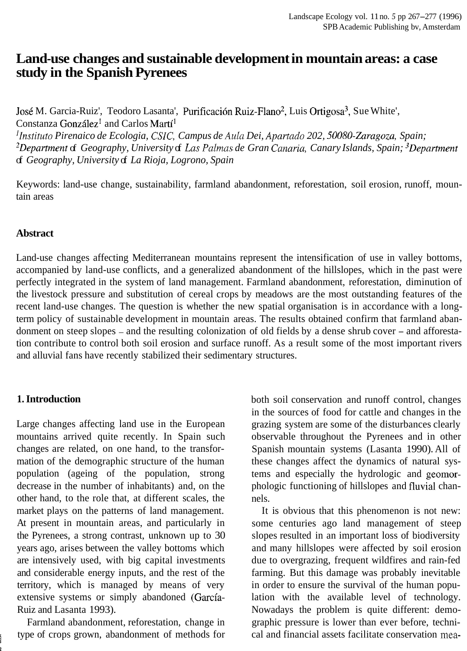# **Land-use changes and sustainable development in mountain areas: a case study in the Spanish Pyrenees**

José M. Garcia-Ruiz', Teodoro Lasanta', Purificación Ruiz-Flano<sup>2</sup>, Luis Ortigosa<sup>3</sup>, Sue White', Constanza González<sup>1</sup> and Carlos Martí<sup>1</sup>

*'Instituto Pirenaico de Ecologia, CSIC, Campus de Aula Dei, Apartado 202, 50080-Zaragoza, Spain;*  <sup>2</sup>Department & Geography, University & Las Palmas de Gran Canaria, Canary Islands, Spain; <sup>3</sup>Department of *Geography, University* of *La Rioja, Logrono, Spain* 

Keywords: land-use change, sustainability, farmland abandonment, reforestation, soil erosion, runoff, mountain areas

## **Abstract**

Land-use changes affecting Mediterranean mountains represent the intensification of use in valley bottoms, accompanied by land-use conflicts, and a generalized abandonment of the hillslopes, which in the past were perfectly integrated in the system of land management. Farmland abandonment, reforestation, diminution of the livestock pressure and substitution of cereal crops by meadows are the most outstanding features of the recent land-use changes. The question is whether the new spatial organisation is in accordance with a longterm policy of sustainable development in mountain areas. The results obtained confirm that farmland abandonment on steep slopes – and the resulting colonization of old fields by a dense shrub cover – and afforestation contribute to control both soil erosion and surface runoff. As a result some of the most important rivers and alluvial fans have recently stabilized their sedimentary structures.

### **1. Introduction**

**c** 

Large changes affecting land use in the European mountains arrived quite recently. In Spain such changes are related, on one hand, to the transformation of the demographic structure of the human population (ageing of the population, strong decrease in the number of inhabitants) and, on the other hand, to the role that, at different scales, the market plays on the patterns of land management. At present in mountain areas, and particularly in the Pyrenees, a strong contrast, unknown up to 30 years ago, arises between the valley bottoms which are intensively used, with big capital investments and considerable energy inputs, and the rest of the territory, which is managed by means of very extensive systems or simply abandoned (Garcia-Ruiz and Lasanta 1993).

Farmland abandonment, reforestation, change in type of crops grown, abandonment of methods for both soil conservation and runoff control, changes in the sources of food for cattle and changes in the grazing system are some of the disturbances clearly observable throughout the Pyrenees and in other Spanish mountain systems (Lasanta 1990). All of these changes affect the dynamics of natural systems and especially the hydrologic and geomorphologic functioning of hillslopes and fluvial channels.

It is obvious that this phenomenon is not new: some centuries ago land management of steep slopes resulted in an important loss of biodiversity and many hillslopes were affected by soil erosion due to overgrazing, frequent wildfires and rain-fed farming. But this damage was probably inevitable in order to ensure the survival of the human population with the available level of technology. Nowadays the problem is quite different: demographic pressure is lower than ever before, technical and financial assets facilitate conservation mea-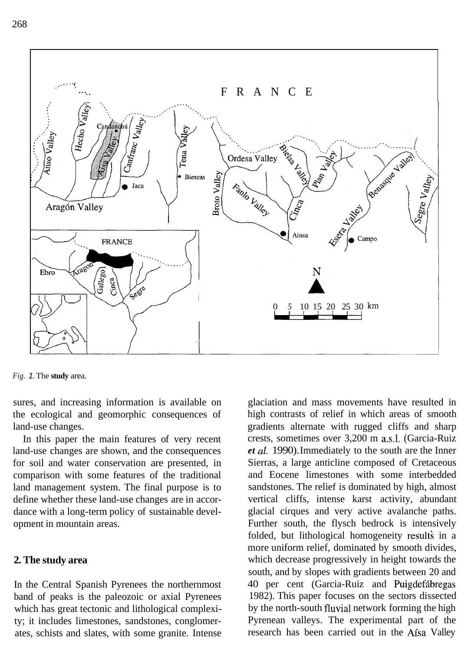



*Fig. 1.* The **study** area.

sures, and increasing information is available on the ecological and geomorphic consequences of land-use changes.

In this paper the main features of very recent land-use changes are shown, and the consequences for soil and water conservation are presented, in comparison with some features of the traditional land management system. The final purpose is to define whether these land-use changes are in accordance with a long-term policy of sustainable development in mountain areas.

## **2. The study area**

In the Central Spanish Pyrenees the northernmost band of peaks is the paleozoic or axial Pyrenees which has great tectonic and lithological complexity; it includes limestones, sandstones, conglomerates, schists and slates, with some granite. Intense glaciation and mass movements have resulted in high contrasts of relief in which areas of smooth gradients alternate with rugged cliffs and sharp crests, sometimes over 3,200 m a.s.1. (Garcia-Ruiz *et al.* 1990). Immediately to the south are the Inner Sierras, a large anticline composed of Cretaceous and Eocene limestones with some interbedded sandstones. The relief is dominated by high, almost vertical cliffs, intense karst activity, abundant glacial cirques and very active avalanche paths. Further south, the flysch bedrock is intensively folded, but lithological homogeneity results in a more uniform relief, dominated by smooth divides, which decrease progressively in height towards the south, and by slopes with gradients between 20 and 40 per cent (Garcia-Ruiz and Puigdefábregas 1982). This paper focuses on the sectors dissected by the north-south fluvial network forming the high Pyrenean valleys. The experimental part of the research has been carried out in the Aisa Valley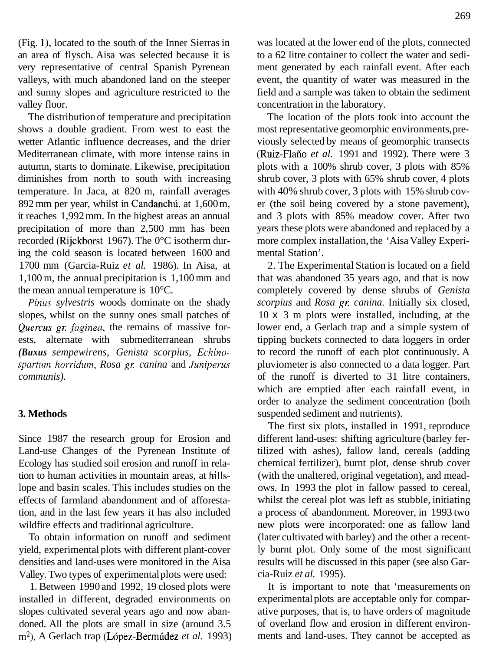(Fig. l), located to the south of the Inner Sierras in an area of flysch. Aisa was selected because it is very representative of central Spanish Pyrenean valleys, with much abandoned land on the steeper and sunny slopes and agriculture restricted to the

valley floor. The distribution of temperature and precipitation shows a double gradient. From west to east the wetter Atlantic influence decreases, and the drier Mediterranean climate, with more intense rains in autumn, starts to dominate. Likewise, precipitation diminishes from north to south with increasing temperature. In Jaca, at 820 m, rainfall averages 892 mm per year, whilst in Candanchú, at  $1,600$  m, it reaches 1,992 mm. In the highest areas an annual precipitation of more than 2,500 mm has been recorded (Rijckborst 1967). The 0°C isotherm during the cold season is located between 1600 and 1700 mm (Garcia-Ruiz *et al.* 1986). In Aisa, at 1,100 m, the annual precipitation is 1,100 mm and the mean annual temperature is 10°C.

*Pinus sylvestris* woods dominate on the shady slopes, whilst on the sunny ones small patches of *Quercus gr. faginea,* the remains of massive forests, alternate with submediterranean shrubs *(Buxus sempewirens, Genista scorpius, Echinospartum horridum, Rosa gl: canina* and *Juniperus communis).* 

# **3. Methods**

Since 1987 the research group for Erosion and Land-use Changes of the Pyrenean Institute of Ecology has studied soil erosion and runoff in relation to human activities in mountain areas, at hillslope and basin scales. This includes studies on the effects of farmland abandonment and of afforestation, and in the last few years it has also included wildfire effects and traditional agriculture.

To obtain information on runoff and sediment yield, experimental plots with different plant-cover densities and land-uses were monitored in the Aisa Valley. Two types of experimental plots were used:

1. Between 1990 and 1992, 19 closed plots were installed in different, degraded environments on slopes cultivated several years ago and now abandoned. All the plots are small in size (around 3.5 m<sup>2</sup>). A Gerlach trap (López-Bermúdez *et al.* 1993) was located at the lower end of the plots, connected to a 62 litre container to collect the water and sediment generated by each rainfall event. After each event, the quantity of water was measured in the field and a sample was taken to obtain the sediment concentration in the laboratory.

The location of the plots took into account the most representative geomorphic environments, previously selected by means of geomorphic transects (Ruiz-Flaño *et al.* 1991 and 1992). There were 3 plots with a 100% shrub cover, 3 plots with 85% shrub cover, 3 plots with 65% shrub cover, 4 plots with 40% shrub cover, 3 plots with 15% shrub cover (the soil being covered by a stone pavement), and 3 plots with 85% meadow cover. After two years these plots were abandoned and replaced by a more complex installation, the 'Aisa Valley Experimental Station'.

2. The Experimental Station is located on a field that was abandoned 35 years ago, and that is now completely covered by dense shrubs of *Genista scorpius* and *Rosa gr: canina.* Initially six closed, 10 x 3 m plots were installed, including, at the lower end, a Gerlach trap and a simple system of tipping buckets connected to data loggers in order to record the runoff of each plot continuously. A pluviometer is also connected to a data logger. Part of the runoff is diverted to 31 litre containers, which are emptied after each rainfall event, in order to analyze the sediment concentration (both suspended sediment and nutrients).

The first six plots, installed in 1991, reproduce different land-uses: shifting agriculture (barley fertilized with ashes), fallow land, cereals (adding chemical fertilizer), burnt plot, dense shrub cover (with the unaltered, original vegetation), and meadows. In 1993 the plot in fallow passed to cereal, whilst the cereal plot was left as stubble, initiating a process of abandonment. Moreover, in 1993 two new plots were incorporated: one as fallow land (later cultivated with barley) and the other a recently burnt plot. Only some of the most significant results will be discussed in this paper (see also Garcia-Ruiz *et al.* 1995).

It is important to note that 'measurements on experimental plots are acceptable only for comparative purposes, that is, to have orders of magnitude of overland flow and erosion in different environments and land-uses. They cannot be accepted as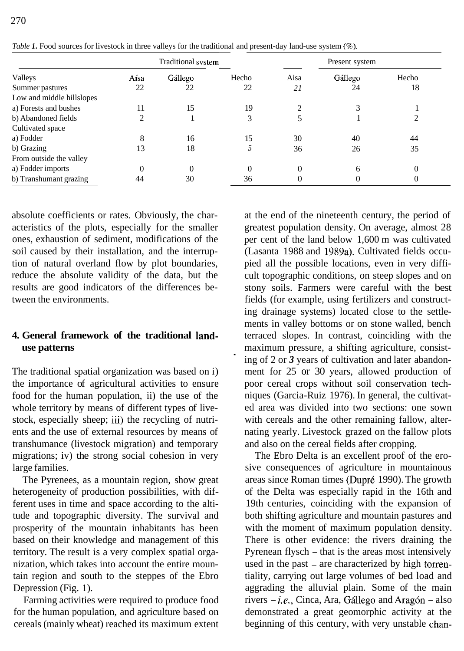| 27 U                                                                                                          |  |  |  |
|---------------------------------------------------------------------------------------------------------------|--|--|--|
|                                                                                                               |  |  |  |
| Table 1. Food sources for livestock in three valleys for the traditional and present-day land-use system (%). |  |  |  |
|                                                                                                               |  |  |  |

|                           |                | Traditional system |          |          | Present system |          |
|---------------------------|----------------|--------------------|----------|----------|----------------|----------|
| Valleys                   | Aísa           | Gállego            | Hecho    | Aisa     | Gállego        | Hecho    |
| Summer pastures           | 22             | 22                 | 22       | 21       | 24             | 18       |
| Low and middle hillslopes |                |                    |          |          |                |          |
| a) Forests and bushes     | 11             | 15                 | 19       | 2        | 3              |          |
| b) Abandoned fields       | $\overline{c}$ |                    | 3        | 5        |                |          |
| Cultivated space          |                |                    |          |          |                |          |
| a) Fodder                 | 8              | 16                 | 15       | 30       | 40             | 44       |
| b) Grazing                | 13             | 18                 |          | 36       | 26             | 35       |
| From outside the valley   |                |                    |          |          |                |          |
| a) Fodder imports         | $\theta$       | $\Omega$           | $\Omega$ | $\Omega$ | 6              | 0        |
| b) Transhumant grazing    | 44             | 30                 | 36       | 0        |                | $\Omega$ |

-

absolute coefficients or rates. Obviously, the characteristics of the plots, especially for the smaller ones, exhaustion of sediment, modifications of the soil caused by their installation, and the interruption of natural overland flow by plot boundaries, reduce the absolute validity of the data, but the results are good indicators of the differences between the environments.

# **4. General framework of the traditional landuse patterns**

The traditional spatial organization was based on i) the importance of agricultural activities to ensure food for the human population, ii) the use of the whole territory by means of different types of livestock, especially sheep; iii) the recycling of nutrients and the use of external resources by means of transhumance (livestock migration) and temporary migrations; iv) the strong social cohesion in very large families.

The Pyrenees, as a mountain region, show great heterogeneity of production possibilities, with different uses in time and space according to the altitude and topographic diversity. The survival and prosperity of the mountain inhabitants has been based on their knowledge and management of this territory. The result is a very complex spatial organization, which takes into account the entire mountain region and south to the steppes of the Ebro Depression (Fig. 1).

Farming activities were required to produce food for the human population, and agriculture based on cereals (mainly wheat) reached its maximum extent

at the end of the nineteenth century, the period of greatest population density. On average, almost 28 per cent of the land below 1,600 m was cultivated (Lasanta 1988 and 1989a). Cultivated fields occupied all the possible locations, even in very difficult topographic conditions, on steep slopes and on stony soils. Farmers were careful with the best fields (for example, using fertilizers and constructing drainage systems) located close to the settlements in valley bottoms or on stone walled, bench terraced slopes. In contrast, coinciding with the maximum pressure, a shifting agriculture, consisting of 2 or *3* years of cultivation and later abandonment for 25 or 30 years, allowed production of poor cereal crops without soil conservation techniques (Garcia-Ruiz 1976). In general, the cultivated area was divided into two sections: one sown with cereals and the other remaining fallow, alternating yearly. Livestock grazed on the fallow plots and also on the cereal fields after cropping.

The Ebro Delta is an excellent proof of the erosive consequences of agriculture in mountainous areas since Roman times (Dupré 1990). The growth of the Delta was especially rapid in the 16th and 19th centuries, coinciding with the expansion of both shifting agriculture and mountain pastures and with the moment of maximum population density. There is other evidence: the rivers draining the Pyrenean flysch - that is the areas most intensively used in the past – are characterized by high torrentiality, carrying out large volumes of bed load and aggrading the alluvial plain. Some of the main rivers  $-i.e.,$  Cinca, Ara, Gállego and Aragón – also demonstrated a great geomorphic activity at the beginning of this century, with very unstable chan-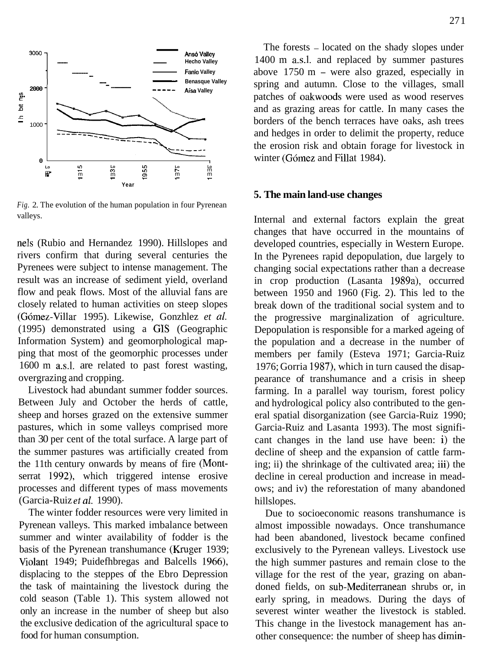

*Fig.* 2. The evolution of the human population in four Pyrenean valleys.

nels (Rubio and Hernandez 1990). Hillslopes and rivers confirm that during several centuries the Pyrenees were subject to intense management. The result was an increase of sediment yield, overland flow and peak flows. Most of the alluvial fans are closely related to human activities on steep slopes (G6mez-Villar 1995). Likewise, Gonzhlez *et al.*  (1995) demonstrated using a GIs (Geographic Information System) and geomorphological mapping that most of the geomorphic processes under 1600 m a.s.1. are related to past forest wasting, overgrazing and cropping.

Livestock had abundant summer fodder sources. Between July and October the herds of cattle, sheep and horses grazed on the extensive summer pastures, which in some valleys comprised more than 30 per cent of the total surface. A large part of the summer pastures was artificially created from the 11th century onwards by means of fire (Montserrat 1992), which triggered intense erosive processes and different types of mass movements (Garcia-Ruiz **ef** *al.* 1990).

The winter fodder resources were very limited in Pyrenean valleys. This marked imbalance between summer and winter availability of fodder is the basis of the Pyrenean transhumance (Kruger 1939; Violant 1949; Puidefhbregas and Balcells 1966), displacing to the steppes of the Ebro Depression the task of maintaining the livestock during the cold season (Table 1). This system allowed not only an increase in the number of sheep but also the exclusive dedication of the agricultural space to food for human consumption.

The forests – located on the shady slopes under 1400 m a.s.1. and replaced by summer pastures above 1750 m - were also grazed, especially in spring and autumn. Close to the villages, small patches of oakwoods were used as wood reserves and as grazing areas for cattle. In many cases the borders of the bench terraces have oaks, ash trees and hedges in order to delimit the property, reduce the erosion risk and obtain forage for livestock in

#### **5. The main land-use changes**

Internal and external factors explain the great changes that have occurred in the mountains of developed countries, especially in Western Europe. In the Pyrenees rapid depopulation, due largely to changing social expectations rather than a decrease in crop production (Lasanta 1989a), occurred between 1950 and 1960 (Fig. 2). This led to the break down of the traditional social system and to the progressive marginalization of agriculture. Depopulation is responsible for a marked ageing of the population and a decrease in the number of members per family (Esteva 1971; Garcia-Ruiz 1976; Gorria 1987), which in turn caused the disappearance of transhumance and a crisis in sheep farming. In a parallel way tourism, forest policy and hydrological policy also contributed to the general spatial disorganization (see Garcia-Ruiz 1990; Garcia-Ruiz and Lasanta 1993). The most significant changes in the land use have been: i) the decline of sheep and the expansion of cattle farming; ii) the shrinkage of the cultivated area; iii) the decline in cereal production and increase in meadows; and iv) the reforestation of many abandoned hillslopes.

Due to socioeconomic reasons transhumance is almost impossible nowadays. Once transhumance had been abandoned, livestock became confined exclusively to the Pyrenean valleys. Livestock use the high summer pastures and remain close to the village for the rest of the year, grazing on abandoned fields, on sub-Mediterranean shrubs or, in early spring, in meadows. During the days of severest winter weather the livestock is stabled. This change in the livestock management has another consequence: the number of sheep has dimin-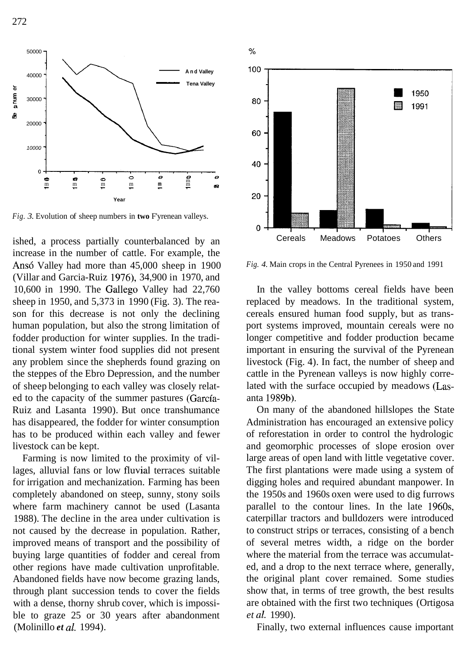272



*Fig. 3.* Evolution of sheep numbers in **two** F'yrenean valleys.

ished, a process partially counterbalanced by an increase in the number of cattle. For example, the Ans6 Valley had more than 45,000 sheep in 1900 (Villar and Garcia-Ruiz 1976), 34,900 in 1970, and 10,600 in 1990. The Gallego Valley had 22,760 sheep in 1950, and 5,373 in 1990 (Fig. 3). The reason for this decrease is not only the declining human population, but also the strong limitation of fodder production for winter supplies. In the traditional system winter food supplies did not present any problem since the shepherds found grazing on the steppes of the Ebro Depression, and the number of sheep belonging to each valley was closely related to the capacity of the summer pastures (Garcia-Ruiz and Lasanta 1990). But once transhumance has disappeared, the fodder for winter consumption has to be produced within each valley and fewer livestock can be kept.

Farming is now limited to the proximity of villages, alluvial fans or low fluvial terraces suitable for irrigation and mechanization. Farming has been completely abandoned on steep, sunny, stony soils where farm machinery cannot be used (Lasanta 1988). The decline in the area under cultivation is not caused by the decrease in population. Rather, improved means of transport and the possibility of buying large quantities of fodder and cereal from other regions have made cultivation unprofitable. Abandoned fields have now become grazing lands, through plant succession tends to cover the fields with a dense, thorny shrub cover, which is impossible to graze 25 or 30 years after abandonment (Molinillo *et al.* 1994).



*Fig. 4.* Main crops in the Central Pyrenees in 1950 and 1991

In the valley bottoms cereal fields have been replaced by meadows. In the traditional system, cereals ensured human food supply, but as transport systems improved, mountain cereals were no longer competitive and fodder production became important in ensuring the survival of the Pyrenean livestock (Fig. 4). In fact, the number of sheep and cattle in the Pyrenean valleys is now highly correlated with the surface occupied by meadows (Lasanta 1989b).

On many of the abandoned hillslopes the State Administration has encouraged an extensive policy of reforestation in order to control the hydrologic and geomorphic processes of slope erosion over large areas of open land with little vegetative cover. The first plantations were made using a system of digging holes and required abundant manpower. In the 1950s and 1960s oxen were used to dig furrows parallel to the contour lines. In the late 1960s, caterpillar tractors and bulldozers were introduced to construct strips or terraces, consisting of a bench of several metres width, a ridge on the border where the material from the terrace was accumulated, and a drop to the next terrace where, generally, the original plant cover remained. Some studies show that, in terms of tree growth, the best results are obtained with the first two techniques (Ortigosa *et al.* 1990).

Finally, two external influences cause important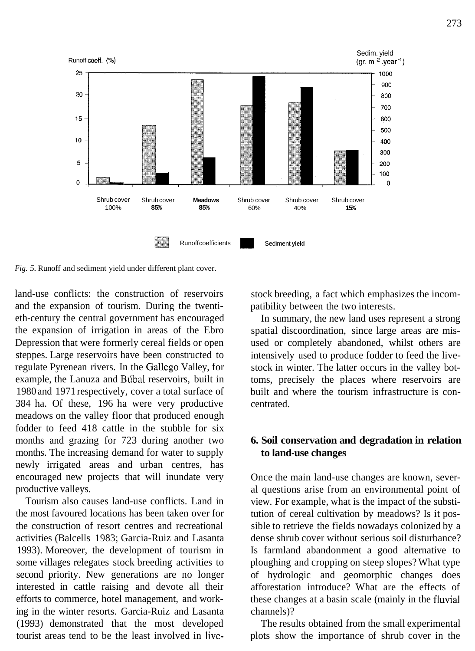

*Fig. 5.* Runoff and sediment yield under different plant cover.

land-use conflicts: the construction of reservoirs and the expansion of tourism. During the twentieth-century the central government has encouraged the expansion of irrigation in areas of the Ebro Depression that were formerly cereal fields or open steppes. Large reservoirs have been constructed to regulate Pyrenean rivers. In the Gallego Valley, for example, the Lanuza and Búbal reservoirs, built in 1980 and 1971 respectively, cover a total surface of 384 ha. Of these, 196 ha were very productive meadows on the valley floor that produced enough fodder to feed 418 cattle in the stubble for six months and grazing for 723 during another two months. The increasing demand for water to supply newly irrigated areas and urban centres, has encouraged new projects that will inundate very productive valleys.

Tourism also causes land-use conflicts. Land in the most favoured locations has been taken over for the construction of resort centres and recreational activities (Balcells 1983; Garcia-Ruiz and Lasanta 1993). Moreover, the development of tourism in some villages relegates stock breeding activities to second priority. New generations are no longer interested in cattle raising and devote all their efforts to commerce, hotel management, and working in the winter resorts. Garcia-Ruiz and Lasanta (1993) demonstrated that the most developed tourist areas tend to be the least involved in livestock breeding, a fact which emphasizes the incompatibility between the two interests.

In summary, the new land uses represent a strong spatial discoordination, since large areas are misused or completely abandoned, whilst others are intensively used to produce fodder to feed the livestock in winter. The latter occurs in the valley bottoms, precisely the places where reservoirs are built and where the tourism infrastructure is concentrated.

## **6. Soil conservation and degradation in relation to land-use changes**

Once the main land-use changes are known, several questions arise from an environmental point of view. For example, what is the impact of the substitution of cereal cultivation by meadows? Is it possible to retrieve the fields nowadays colonized by a dense shrub cover without serious soil disturbance? Is farmland abandonment a good alternative to ploughing and cropping on steep slopes? What type of hydrologic and geomorphic changes does afforestation introduce? What are the effects of these changes at a basin scale (mainly in the fluvial channels)?

The results obtained from the small experimental plots show the importance of shrub cover in the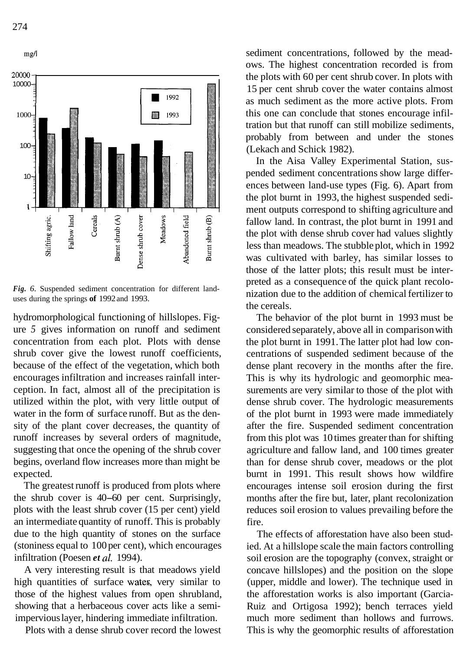



*Fig. 6.* Suspended sediment concentration for different landuses during the springs **of** 1992 and 1993.

hydromorphological functioning of hillslopes. Figure *5* gives information on runoff and sediment concentration from each plot. Plots with dense shrub cover give the lowest runoff coefficients, because of the effect of the vegetation, which both encourages infiltration and increases rainfall interception. In fact, almost all of the precipitation is utilized within the plot, with very little output of water in the form of surface runoff. But as the density of the plant cover decreases, the quantity of runoff increases by several orders of magnitude, suggesting that once the opening of the shrub cover begins, overland flow increases more than might be expected.

The greatest runoff is produced from plots where the shrub cover is 40-60 per cent. Surprisingly, plots with the least shrub cover (15 per cent) yield an intermediate quantity of runoff. This is probably due to the high quantity of stones on the surface (stoniness equal to 100 per cent), which encourages infiltration (Poesen *et al.* 1994).

A very interesting result is that meadows yield high quantities of surface water, very similar to those of the highest values from open shrubland, showing that a herbaceous cover acts like a semiimpervious layer, hindering immediate infiltration.

Plots with a dense shrub cover record the lowest

sediment concentrations, followed by the meadows. The highest concentration recorded is from the plots with 60 per cent shrub cover. In plots with 15 per cent shrub cover the water contains almost as much sediment as the more active plots. From this one can conclude that stones encourage infiltration but that runoff can still mobilize sediments, probably from between and under the stones (Lekach and Schick 1982).

In the Aisa Valley Experimental Station, suspended sediment concentrations show large differences between land-use types (Fig. 6). Apart from the plot burnt in 1993, the highest suspended sediment outputs correspond to shifting agriculture and fallow land. In contrast, the plot burnt in 1991 and the plot with dense shrub cover had values slightly less than meadows. The stubble plot, which in 1992 was cultivated with barley, has similar losses to those of the latter plots; this result must be interpreted as a consequence of the quick plant recolonization due to the addition of chemical fertilizer to the cereals.

The behavior of the plot burnt in 1993 must be considered separately, above all in comparison with the plot burnt in 1991. The latter plot had low concentrations of suspended sediment because of the dense plant recovery in the months after the fire. This is why its hydrologic and geomorphic measurements are very similar to those of the plot with dense shrub cover. The hydrologic measurements of the plot burnt in 1993 were made immediately after the fire. Suspended sediment concentration from this plot was 10 times greater than for shifting agriculture and fallow land, and 100 times greater than for dense shrub cover, meadows or the plot burnt in 1991. This result shows how wildfire encourages intense soil erosion during the first months after the fire but, later, plant recolonization reduces soil erosion to values prevailing before the fire.

The effects of afforestation have also been studied. At a hillslope scale the main factors controlling soil erosion are the topography (convex, straight or concave hillslopes) and the position on the slope (upper, middle and lower). The technique used in the afforestation works is also important (Garcia-Ruiz and Ortigosa 1992); bench terraces yield much more sediment than hollows and furrows. This is why the geomorphic results of afforestation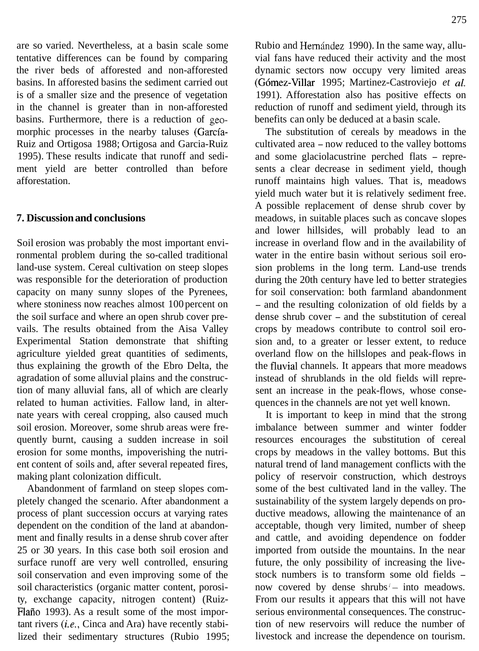are so varied. Nevertheless, at a basin scale some tentative differences can be found by comparing the river beds of afforested and non-afforested basins. In afforested basins the sediment carried out is of a smaller size and the presence of vegetation in the channel is greater than in non-afforested basins. Furthermore, there is a reduction of geomorphic processes in the nearby taluses (Garcia-Ruiz and Ortigosa 1988; Ortigosa and Garcia-Ruiz 1995). These results indicate that runoff and sediment yield are better controlled than before afforestation.

### **7. Discussion and conclusions**

Soil erosion was probably the most important environmental problem during the so-called traditional land-use system. Cereal cultivation on steep slopes was responsible for the deterioration of production capacity on many sunny slopes of the Pyrenees, where stoniness now reaches almost 100 percent on the soil surface and where an open shrub cover prevails. The results obtained from the Aisa Valley Experimental Station demonstrate that shifting agriculture yielded great quantities of sediments, thus explaining the growth of the Ebro Delta, the agradation of some alluvial plains and the construction of many alluvial fans, all of which are clearly related to human activities. Fallow land, in alternate years with cereal cropping, also caused much soil erosion. Moreover, some shrub areas were frequently burnt, causing a sudden increase in soil erosion for some months, impoverishing the nutrient content of soils and, after several repeated fires, making plant colonization difficult.

Abandonment of farmland on steep slopes completely changed the scenario. After abandonment a process of plant succession occurs at varying rates dependent on the condition of the land at abandonment and finally results in a dense shrub cover after 25 or 30 years. In this case both soil erosion and surface runoff are very well controlled, ensuring soil conservation and even improving some of the soil characteristics (organic matter content, porosity, exchange capacity, nitrogen content) (Ruiz-Flaño 1993). As a result some of the most important rivers  $(i.e., Cinca$  and Ara) have recently stabilized their sedimentary structures (Rubio 1995; Rubio and Hernández 1990). In the same way, alluvial fans have reduced their activity and the most dynamic sectors now occupy very limited areas (G6mez-Villar 1995; Martinez-Castroviejo *et al.*  1991). Afforestation also has positive effects on reduction of runoff and sediment yield, through its benefits can only be deduced at a basin scale.

The substitution of cereals by meadows in the cultivated area - now reduced to the valley bottoms and some glaciolacustrine perched flats – represents a clear decrease in sediment yield, though runoff maintains high values. That is, meadows yield much water but it is relatively sediment free. A possible replacement of dense shrub cover by meadows, in suitable places such as concave slopes and lower hillsides, will probably lead to an increase in overland flow and in the availability of water in the entire basin without serious soil erosion problems in the long term. Land-use trends during the 20th century have led to better strategies for soil conservation: both farmland abandonment - and the resulting colonization of old fields by a dense shrub cover - and the substitution of cereal crops by meadows contribute to control soil erosion and, to a greater or lesser extent, to reduce overland flow on the hillslopes and peak-flows in the fluvial channels. It appears that more meadows instead of shrublands in the old fields will represent an increase in the peak-flows, whose consequences in the channels are not yet well known.

It is important to keep in mind that the strong imbalance between summer and winter fodder resources encourages the substitution of cereal crops by meadows in the valley bottoms. But this natural trend of land management conflicts with the policy of reservoir construction, which destroys some of the best cultivated land in the valley. The sustainability of the system largely depends on productive meadows, allowing the maintenance of an acceptable, though very limited, number of sheep and cattle, and avoiding dependence on fodder imported from outside the mountains. In the near future, the only possibility of increasing the livestock numbers is to transform some old fields now covered by dense shrubs<sup>*I*</sup> - into meadows. From our results it appears that this will not have serious environmental consequences. The construction of new reservoirs will reduce the number of livestock and increase the dependence on tourism.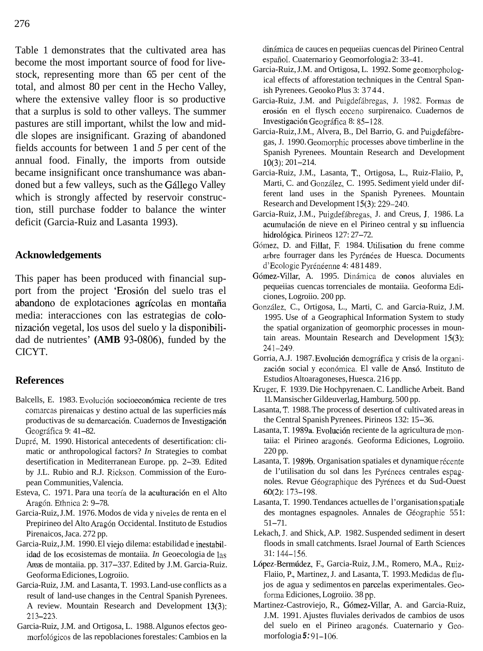Table 1 demonstrates that the cultivated area has become the most important source of food for livestock, representing more than 65 per cent of the total, and almost 80 per cent in the Hecho Valley, where the extensive valley floor is so productive that a surplus is sold to other valleys. The summer pastures are still important, whilst the low and middle slopes are insignificant. Grazing of abandoned fields accounts for between 1 and *5* per cent of the annual food. Finally, the imports from outside became insignificant once transhumance was abandoned but a few valleys, such as the Gállego Valley which is strongly affected by reservoir construction, still purchase fodder to balance the winter deficit (Garcia-Ruiz and Lasanta 1993).

# **Acknowledgements**

This paper has been produced with financial support from the project 'Erosi6n del suelo tras el abandon0 de explotaciones agricolas en montafia media: interacciones con las estrategias de colonizaci6n vegetal, 10s usos del suelo y la disponibilidad de nutrientes' **(AMB** 93-0806), funded by the CICYT.

# **References**

- Balcells, E. 1983. Evolución socioeconómica reciente de tres comarcas pirenaicas y destino actual de las superficies más productivas de su demarcación. Cuadernos de Investigación Geográfica 9: 41-82.
- Dupré, M. 1990. Historical antecedents of desertification: climatic or anthropological factors? *In* Strategies to combat desertification in Mediterranean Europe. pp. 2-39. Edited by J.L. Rubio and R.J. Rickson. Commission of the European Communities, Valencia.
- Esteva, C. 1971. Para una teoría de la aculturación en el Alto Arag6n. Ethnica 2: 9-78.
- Garcia-Ruiz, J.M. 1976. Modos de vida y niveles de renta en el Prepirineo del Alto Aragón Occidental. Instituto de Estudios Pirenaicos, Jaca. 272 pp.
- Garcia-Ruiz, J.M. 1990. El viejo dilema: estabilidad e inestabilidad de 10s ecosistemas de montaiia. *In* Geoecologia de las Areas de montaiia. pp. 317-337. Edited by J.M. Garcia-Ruiz. Geoforma Ediciones, Logroiio.
- Garcia-Ruiz, J.M. and Lasanta, T. 1993. Land-use conflicts as a result of land-use changes in the Central Spanish Pyrenees. A review. Mountain Research and Development 13(3): 213-223.
- Garcia-Ruiz, J.M. and Ortigosa, L. 1988. Algunos efectos geomorfol6gicos de las repoblaciones forestales: Cambios en la

dinámica de cauces en pequeiias cuencas del Pirineo Central espafiol. Cuaternario y Geomorfologia 2: 33-41.

- Garcia-Ruiz, J.M. and Ortigosa, L. 1992. Some geomorphological effects of afforestation techniques in the Central Spanish Pyrenees. Geooko Plus 3: 3744.
- Garcia-Ruiz, J.M. and Puigdefibregas, J. 1982. Formas de erosidn en el flysch eoceno surpirenaico. Cuadernos de Investigación Geográfica 8: 85-128.
- Garcia-Ruiz, J.M., Alvera, B., Del Barrio, G. and Puigdefibregas, J. 1990. Geomorphic processes above timberline in the Spanish Pyrenees. Mountain Research and Development lO(3): 201-214.
- Garcia-Ruiz, J.M., Lasanta, T., Ortigosa, L., Ruiz-Flaiio, P., Marti, C. and Gonzilez, C. 1995. Sediment yield under different land uses in the Spanish Pyrenees. Mountain Research and Development 15(3): 229-240.
- Garcia-Ruiz, J.M., Puigdefábregas, J. and Creus, J. 1986. La acumulaci6n de nieve en el Pirineo central y su influencia hidrol6gica. Pirineos 127: 27-72.
- G6mez, D. and Fillat, F. 1984. Utilisation du frene comme arbre fourrager dans les Pyrénées de Huesca. Documents d'Ecologie Pyrénéenne 4: 481489.
- Gómez-Villar, A. 1995. Dinámica de conos aluviales en pequeiias cuencas torrenciales de montaiia. Geoforma Ediciones, Logroiio. 200 pp.
- Gonzilez, C., Ortigosa, L., Marti, C. and Garcia-Ruiz, J.M. 1995. Use of a Geographical Information System to study the spatial organization of geomorphic processes in mountain areas. Mountain Research and Development 15(3): 241-249.
- Gorria, A.J. 1987. Evolución demográfica y crisis de la organizaci6n social y econ6mica. El valle de Ans6. Instituto de Estudios Altoaragoneses, Huesca. 216 pp.
- Kruger, F. 1939. Die Hochpyrenaen. C. Landliche Arbeit. Band 11. Mansischer Gildeuverlag, Hamburg. 500 pp.
- Lasanta, T. 1988. The process of desertion of cultivated areas in the Central Spanish Pyrenees. Pirineos 132: 15-36.
- Lasanta, T. 1989a. Evolución reciente de la agricultura de montaiia: el Pirineo aragonés. Geoforma Ediciones, Logroiio. 220 pp.
- Lasanta, T. 1989b. Organisation spatiales et dynamique récente de l'utilisation du sol dans les Pyrénees centrales espagnoles. Revue Géographique des Pyrénees et du Sud-Ouest 60(2): 173-198.
- Lasanta, T. 1990. Tendances actuelles de l'organisation spatiale des montagnes espagnoles. Annales de Géographie 551: 51-71.
- Lekach, J. and Shick, A.P. 1982. Suspended sediment in desert floods in small catchments. Israel Journal of Earth Sciences 31: 144-156.
- L6pez-Berm6dez, F., Garcia-Ruiz, J.M., Romero, M.A., Ruiz-Flaiio, P., Martinez, J. and Lasanta, T. 1993. Medidas de flujos de agua y sedimentos en parcelas experimentales. Geoforma Ediciones, Logroiio. 38 pp.
- Martinez-Castroviejo, R., G6mez-Villar, A. and Garcia-Ruiz, J.M. 1991. Ajustes fluviales derivados de cambios de usos del suelo en el Pirineo aragonés. Cuaternario y Geomorfologia *5:* 91-106.